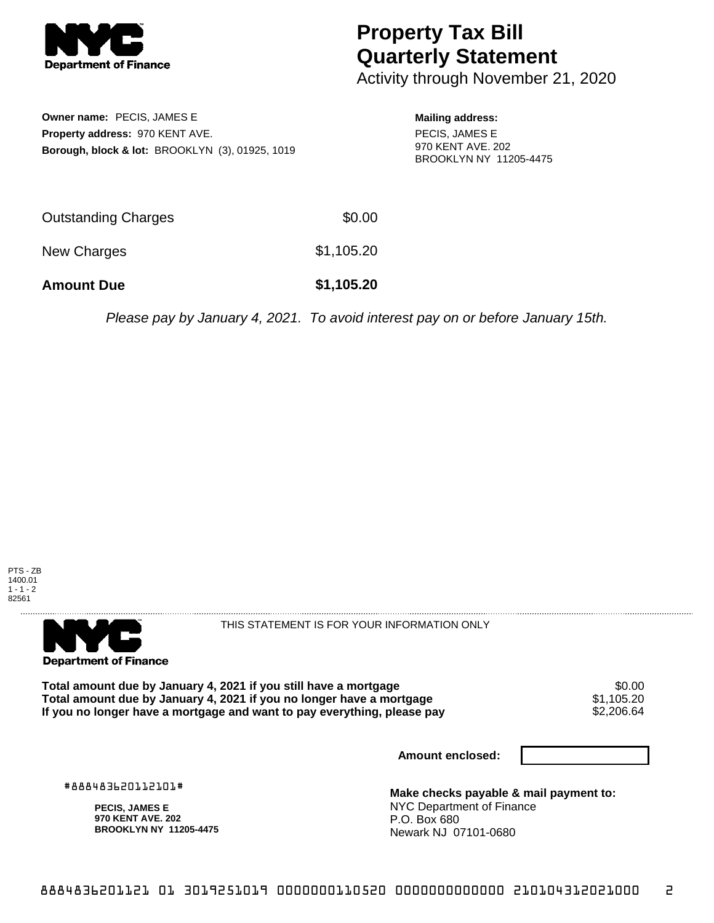

## **Property Tax Bill Quarterly Statement**

Activity through November 21, 2020

**Owner name:** PECIS, JAMES E **Property address:** 970 KENT AVE. **Borough, block & lot:** BROOKLYN (3), 01925, 1019 **Mailing address:** PECIS, JAMES E 970 KENT AVE. 202 BROOKLYN NY 11205-4475

| <b>Amount Due</b>   | \$1,105.20 |
|---------------------|------------|
| New Charges         | \$1,105.20 |
| Outstanding Charges | \$0.00     |

Please pay by January 4, 2021. To avoid interest pay on or before January 15th.





THIS STATEMENT IS FOR YOUR INFORMATION ONLY

Total amount due by January 4, 2021 if you still have a mortgage  $$0.00$ <br>Total amount due by January 4, 2021 if you no longer have a mortgage  $$1,105.20$ **Total amount due by January 4, 2021 if you no longer have a mortgage**  $$1,105.20$ **<br>If you no longer have a mortgage and want to pay everything, please pay**  $$2,206.64$ If you no longer have a mortgage and want to pay everything, please pay

**Amount enclosed:**

#888483620112101#

**PECIS, JAMES E 970 KENT AVE. 202 BROOKLYN NY 11205-4475**

**Make checks payable & mail payment to:** NYC Department of Finance P.O. Box 680 Newark NJ 07101-0680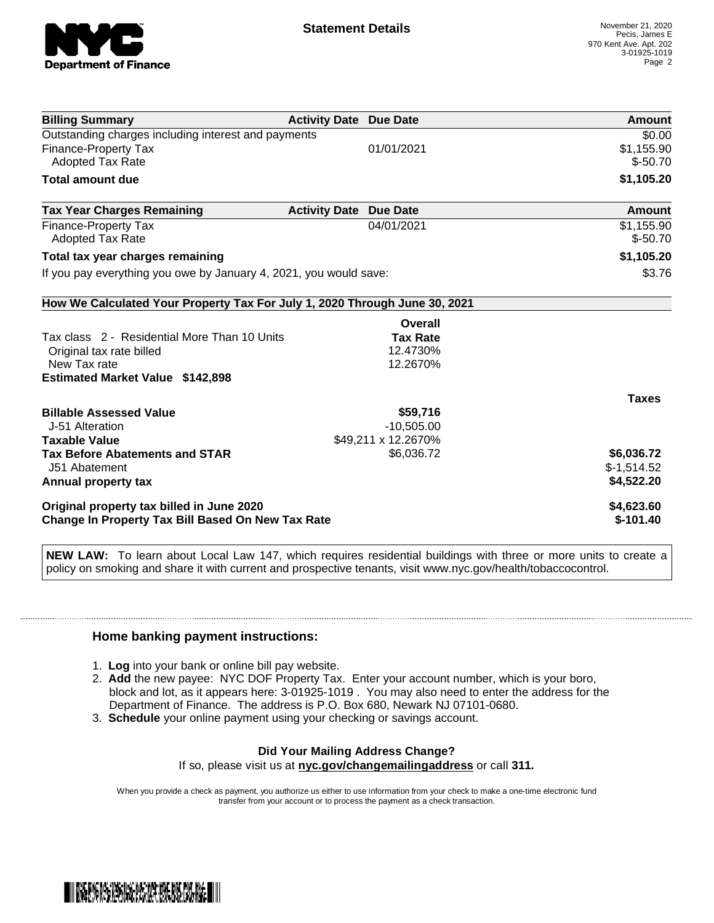

| <b>Billing Summary</b>                                                                                | <b>Activity Date Due Date</b> |                     | Amount                   |
|-------------------------------------------------------------------------------------------------------|-------------------------------|---------------------|--------------------------|
| Outstanding charges including interest and payments                                                   |                               |                     | \$0.00                   |
| <b>Finance-Property Tax</b>                                                                           |                               | 01/01/2021          | \$1,155.90               |
| <b>Adopted Tax Rate</b>                                                                               |                               |                     | $$ -50.70$               |
| <b>Total amount due</b>                                                                               |                               |                     | \$1,105.20               |
| <b>Tax Year Charges Remaining</b>                                                                     | <b>Activity Date</b>          | <b>Due Date</b>     | Amount                   |
| <b>Finance-Property Tax</b>                                                                           |                               | 04/01/2021          | \$1,155.90               |
| Adopted Tax Rate                                                                                      |                               |                     | $$ -50.70$               |
| Total tax year charges remaining                                                                      |                               |                     | \$1,105.20               |
| If you pay everything you owe by January 4, 2021, you would save:                                     |                               |                     | \$3.76                   |
| How We Calculated Your Property Tax For July 1, 2020 Through June 30, 2021                            |                               |                     |                          |
|                                                                                                       |                               | Overall             |                          |
| Tax class 2 - Residential More Than 10 Units                                                          |                               | <b>Tax Rate</b>     |                          |
| Original tax rate billed                                                                              |                               | 12.4730%            |                          |
| New Tax rate                                                                                          |                               | 12.2670%            |                          |
| <b>Estimated Market Value \$142,898</b>                                                               |                               |                     |                          |
|                                                                                                       |                               |                     | <b>Taxes</b>             |
| <b>Billable Assessed Value</b>                                                                        |                               | \$59,716            |                          |
| J-51 Alteration                                                                                       |                               | $-10,505.00$        |                          |
| <b>Taxable Value</b>                                                                                  |                               | \$49,211 x 12.2670% |                          |
| <b>Tax Before Abatements and STAR</b>                                                                 |                               | \$6,036.72          | \$6,036.72               |
| J51 Abatement                                                                                         |                               |                     | $$-1,514.52$             |
| Annual property tax                                                                                   |                               |                     | \$4,522.20               |
| Original property tax billed in June 2020<br><b>Change In Property Tax Bill Based On New Tax Rate</b> |                               |                     | \$4,623.60<br>$$-101.40$ |

**NEW LAW:** To learn about Local Law 147, which requires residential buildings with three or more units to create a policy on smoking and share it with current and prospective tenants, visit www.nyc.gov/health/tobaccocontrol.

## **Home banking payment instructions:**

- 1. **Log** into your bank or online bill pay website.
- 2. **Add** the new payee: NYC DOF Property Tax. Enter your account number, which is your boro, block and lot, as it appears here: 3-01925-1019 . You may also need to enter the address for the Department of Finance. The address is P.O. Box 680, Newark NJ 07101-0680.
- 3. **Schedule** your online payment using your checking or savings account.

## **Did Your Mailing Address Change?** If so, please visit us at **nyc.gov/changemailingaddress** or call **311.**

When you provide a check as payment, you authorize us either to use information from your check to make a one-time electronic fund transfer from your account or to process the payment as a check transaction.